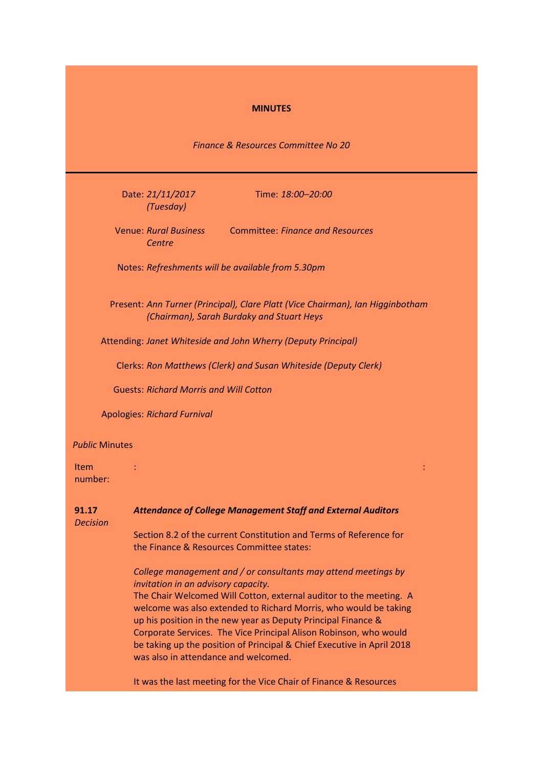### **MINUTES**

*Finance & Resources Committee No 20*

Date: *21/11/2017 (Tuesday)*

Time: *18:00–20:00*

Venue: *Rural Business*  Committee: *Finance and Resources Centre*

Notes: *Refreshments will be available from 5.30pm*

Present: *Ann Turner (Principal), Clare Platt (Vice Chairman), Ian Higginbotham (Chairman), Sarah Burdaky and Stuart Heys*

: :

Attending: *Janet Whiteside and John Wherry (Deputy Principal)*

Clerks: *Ron Matthews (Clerk) and Susan Whiteside (Deputy Clerk)*

Guests: *Richard Morris and Will Cotton*

Apologies: *Richard Furnival*

### *Public* Minutes

Item number:

| 91.17<br><b>Decision</b> | <b>Attendance of College Management Staff and External Auditors</b>                                                                                                                                                                                                              |
|--------------------------|----------------------------------------------------------------------------------------------------------------------------------------------------------------------------------------------------------------------------------------------------------------------------------|
|                          | Section 8.2 of the current Constitution and Terms of Reference for<br>the Finance & Resources Committee states:                                                                                                                                                                  |
|                          | College management and / or consultants may attend meetings by<br><i>invitation in an advisory capacity.</i><br>The Chair Welcomed Will Cotton, external auditor to the meeting. A                                                                                               |
|                          | welcome was also extended to Richard Morris, who would be taking<br>up his position in the new year as Deputy Principal Finance &<br>Corporate Services. The Vice Principal Alison Robinson, who would<br>be taking up the position of Principal & Chief Executive in April 2018 |
|                          | was also in attendance and welcomed.<br>It was the last meeting for the Vice Chair of Finance & Resources                                                                                                                                                                        |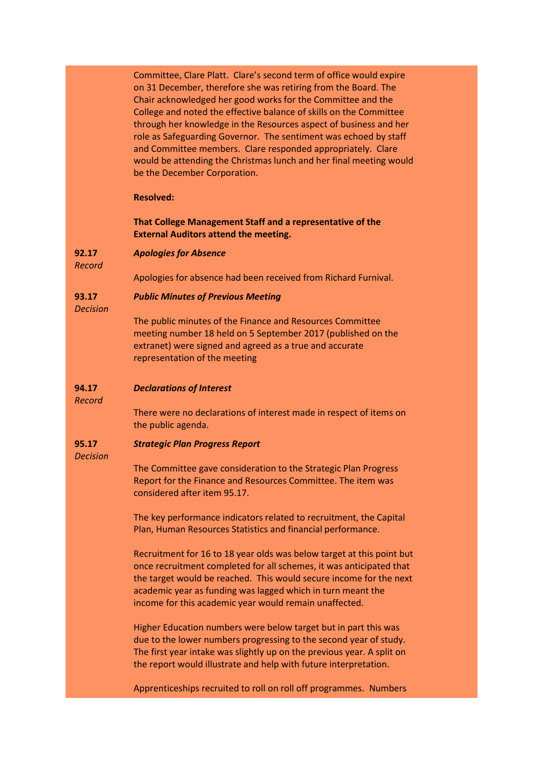Committee, Clare Platt. Clare's second term of office would expire on 31 December, therefore she was retiring from the Board. The Chair acknowledged her good works for the Committee and the College and noted the effective balance of skills on the Committee through her knowledge in the Resources aspect of business and her role as Safeguarding Governor. The sentiment was echoed by staff and Committee members. Clare responded appropriately. Clare would be attending the Christmas lunch and her final meeting would be the December Corporation.

### **Resolved:**

### **That College Management Staff and a representative of the External Auditors attend the meeting.**

#### **92.17** *Apologies for Absence*

*Record*

Apologies for absence had been received from Richard Furnival.

#### **93.17** *Public Minutes of Previous Meeting*

*Decision*

The public minutes of the Finance and Resources Committee meeting number 18 held on 5 September 2017 (published on the extranet) were signed and agreed as a true and accurate representation of the meeting

#### **94.17** *Declarations of Interest*

*Record*

# There were no declarations of interest made in respect of items on

the public agenda.

#### **95.17** *Strategic Plan Progress Report*

*Decision*

The Committee gave consideration to the Strategic Plan Progress Report for the Finance and Resources Committee. The item was considered after item 95.17.

The key performance indicators related to recruitment, the Capital Plan, Human Resources Statistics and financial performance.

Recruitment for 16 to 18 year olds was below target at this point but once recruitment completed for all schemes, it was anticipated that the target would be reached. This would secure income for the next academic year as funding was lagged which in turn meant the income for this academic year would remain unaffected.

Higher Education numbers were below target but in part this was due to the lower numbers progressing to the second year of study. The first year intake was slightly up on the previous year. A split on the report would illustrate and help with future interpretation.

Apprenticeships recruited to roll on roll off programmes. Numbers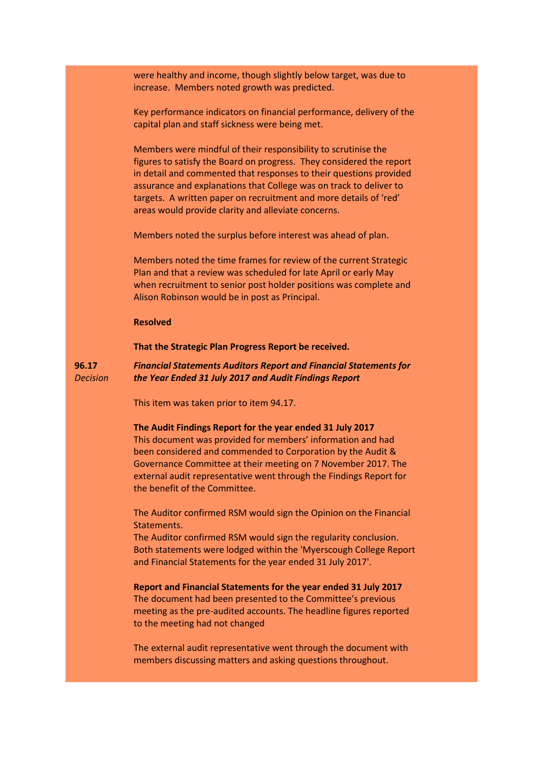were healthy and income, though slightly below target, was due to increase. Members noted growth was predicted.

Key performance indicators on financial performance, delivery of the capital plan and staff sickness were being met.

Members were mindful of their responsibility to scrutinise the figures to satisfy the Board on progress. They considered the report in detail and commented that responses to their questions provided assurance and explanations that College was on track to deliver to targets. A written paper on recruitment and more details of 'red' areas would provide clarity and alleviate concerns.

Members noted the surplus before interest was ahead of plan.

Members noted the time frames for review of the current Strategic Plan and that a review was scheduled for late April or early May when recruitment to senior post holder positions was complete and Alison Robinson would be in post as Principal.

### **Resolved**

### **That the Strategic Plan Progress Report be received.**

**96.17** *Decision Financial Statements Auditors Report and Financial Statements for the Year Ended 31 July 2017 and Audit Findings Report*

This item was taken prior to item 94.17.

### **The Audit Findings Report for the year ended 31 July 2017**

This document was provided for members' information and had been considered and commended to Corporation by the Audit & Governance Committee at their meeting on 7 November 2017. The external audit representative went through the Findings Report for the benefit of the Committee.

The Auditor confirmed RSM would sign the Opinion on the Financial Statements.

The Auditor confirmed RSM would sign the regularity conclusion. Both statements were lodged within the 'Myerscough College Report and Financial Statements for the year ended 31 July 2017'.

## **Report and Financial Statements for the year ended 31 July 2017** The document had been presented to the Committee's previous

meeting as the pre-audited accounts. The headline figures reported to the meeting had not changed

The external audit representative went through the document with members discussing matters and asking questions throughout.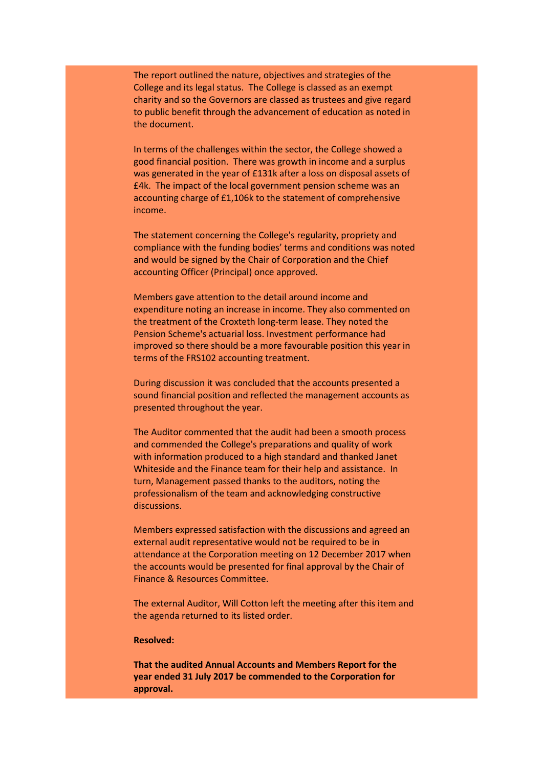The report outlined the nature, objectives and strategies of the College and its legal status. The College is classed as an exempt charity and so the Governors are classed as trustees and give regard to public benefit through the advancement of education as noted in the document.

In terms of the challenges within the sector, the College showed a good financial position. There was growth in income and a surplus was generated in the year of £131k after a loss on disposal assets of £4k. The impact of the local government pension scheme was an accounting charge of £1,106k to the statement of comprehensive income.

The statement concerning the College's regularity, propriety and compliance with the funding bodies' terms and conditions was noted and would be signed by the Chair of Corporation and the Chief accounting Officer (Principal) once approved.

Members gave attention to the detail around income and expenditure noting an increase in income. They also commented on the treatment of the Croxteth long-term lease. They noted the Pension Scheme's actuarial loss. Investment performance had improved so there should be a more favourable position this year in terms of the FRS102 accounting treatment.

During discussion it was concluded that the accounts presented a sound financial position and reflected the management accounts as presented throughout the year.

The Auditor commented that the audit had been a smooth process and commended the College's preparations and quality of work with information produced to a high standard and thanked Janet Whiteside and the Finance team for their help and assistance. In turn, Management passed thanks to the auditors, noting the professionalism of the team and acknowledging constructive discussions.

Members expressed satisfaction with the discussions and agreed an external audit representative would not be required to be in attendance at the Corporation meeting on 12 December 2017 when the accounts would be presented for final approval by the Chair of Finance & Resources Committee.

The external Auditor, Will Cotton left the meeting after this item and the agenda returned to its listed order.

### **Resolved:**

**That the audited Annual Accounts and Members Report for the year ended 31 July 2017 be commended to the Corporation for approval.**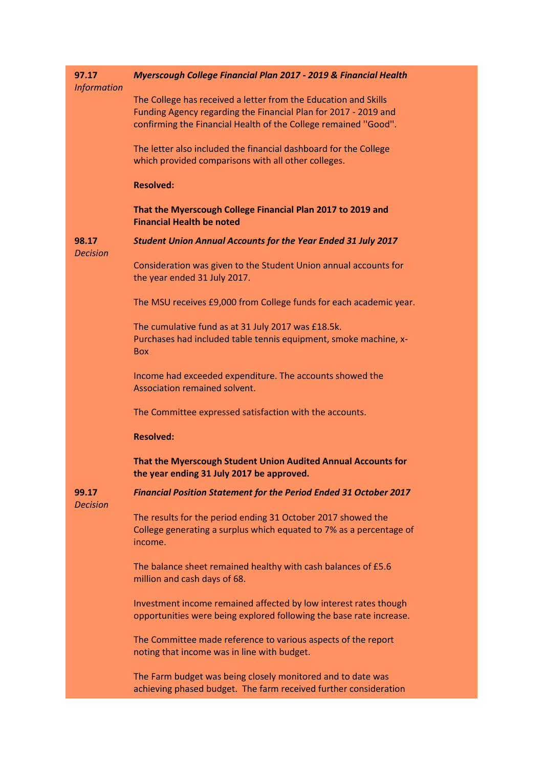| 97.17<br><b>Information</b> | Myerscough College Financial Plan 2017 - 2019 & Financial Health                                                                                                                                      |
|-----------------------------|-------------------------------------------------------------------------------------------------------------------------------------------------------------------------------------------------------|
|                             | The College has received a letter from the Education and Skills<br>Funding Agency regarding the Financial Plan for 2017 - 2019 and<br>confirming the Financial Health of the College remained "Good". |
|                             | The letter also included the financial dashboard for the College<br>which provided comparisons with all other colleges.                                                                               |
|                             | <b>Resolved:</b>                                                                                                                                                                                      |
|                             | That the Myerscough College Financial Plan 2017 to 2019 and<br><b>Financial Health be noted</b>                                                                                                       |
| 98.17<br><b>Decision</b>    | <b>Student Union Annual Accounts for the Year Ended 31 July 2017</b>                                                                                                                                  |
|                             | Consideration was given to the Student Union annual accounts for<br>the year ended 31 July 2017.                                                                                                      |
|                             | The MSU receives £9,000 from College funds for each academic year.                                                                                                                                    |
|                             | The cumulative fund as at 31 July 2017 was £18.5k.<br>Purchases had included table tennis equipment, smoke machine, x-<br><b>Box</b>                                                                  |
|                             | Income had exceeded expenditure. The accounts showed the<br>Association remained solvent.                                                                                                             |
|                             | The Committee expressed satisfaction with the accounts.                                                                                                                                               |
|                             | <b>Resolved:</b>                                                                                                                                                                                      |
|                             | That the Myerscough Student Union Audited Annual Accounts for<br>the year ending 31 July 2017 be approved.                                                                                            |
| 99.17<br><b>Decision</b>    | Financial Position Statement for the Period Ended 31 October 2017                                                                                                                                     |
|                             | The results for the period ending 31 October 2017 showed the<br>College generating a surplus which equated to 7% as a percentage of<br>income.                                                        |
|                             | The balance sheet remained healthy with cash balances of £5.6<br>million and cash days of 68.                                                                                                         |
|                             | Investment income remained affected by low interest rates though<br>opportunities were being explored following the base rate increase.                                                               |
|                             | The Committee made reference to various aspects of the report<br>noting that income was in line with budget.                                                                                          |
|                             | The Farm budget was being closely monitored and to date was<br>achieving phased budget. The farm received further consideration                                                                       |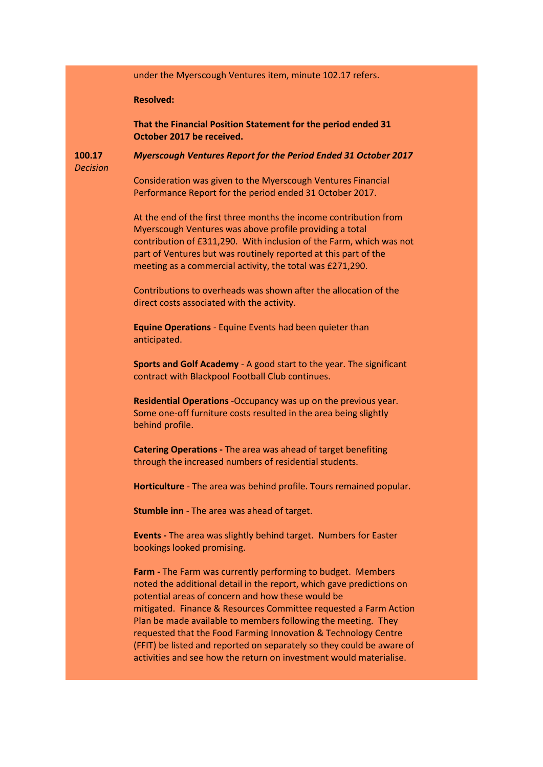under the Myerscough Ventures item, minute 102.17 refers.

### **Resolved:**

**That the Financial Position Statement for the period ended 31 October 2017 be received.**

**100.17** *Myerscough Ventures Report for the Period Ended 31 October 2017*

*Decision*

Consideration was given to the Myerscough Ventures Financial Performance Report for the period ended 31 October 2017.

At the end of the first three months the income contribution from Myerscough Ventures was above profile providing a total contribution of £311,290. With inclusion of the Farm, which was not part of Ventures but was routinely reported at this part of the meeting as a commercial activity, the total was £271,290.

Contributions to overheads was shown after the allocation of the direct costs associated with the activity.

**Equine Operations** - Equine Events had been quieter than anticipated.

**Sports and Golf Academy** - A good start to the year. The significant contract with Blackpool Football Club continues.

**Residential Operations** -Occupancy was up on the previous year. Some one-off furniture costs resulted in the area being slightly behind profile.

**Catering Operations -** The area was ahead of target benefiting through the increased numbers of residential students.

**Horticulture** - The area was behind profile. Tours remained popular.

**Stumble inn** - The area was ahead of target.

**Events -** The area was slightly behind target. Numbers for Easter bookings looked promising.

**Farm -** The Farm was currently performing to budget. Members noted the additional detail in the report, which gave predictions on potential areas of concern and how these would be mitigated. Finance & Resources Committee requested a Farm Action Plan be made available to members following the meeting. They requested that the Food Farming Innovation & Technology Centre (FFIT) be listed and reported on separately so they could be aware of activities and see how the return on investment would materialise.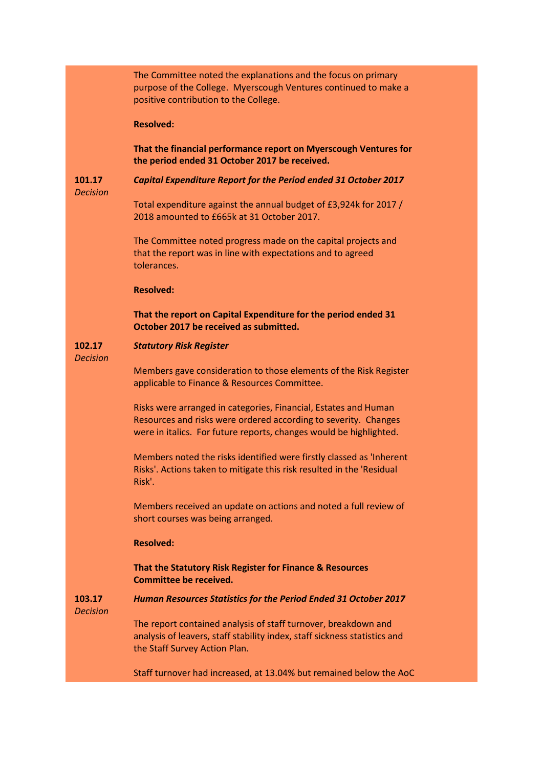|                           | The Committee noted the explanations and the focus on primary<br>purpose of the College. Myerscough Ventures continued to make a<br>positive contribution to the College.                                |
|---------------------------|----------------------------------------------------------------------------------------------------------------------------------------------------------------------------------------------------------|
|                           | <b>Resolved:</b>                                                                                                                                                                                         |
|                           | That the financial performance report on Myerscough Ventures for<br>the period ended 31 October 2017 be received.                                                                                        |
| 101.17<br><b>Decision</b> | Capital Expenditure Report for the Period ended 31 October 2017                                                                                                                                          |
|                           | Total expenditure against the annual budget of £3,924k for 2017 /<br>2018 amounted to £665k at 31 October 2017.                                                                                          |
|                           | The Committee noted progress made on the capital projects and<br>that the report was in line with expectations and to agreed<br>tolerances.                                                              |
|                           | <b>Resolved:</b>                                                                                                                                                                                         |
|                           | That the report on Capital Expenditure for the period ended 31<br>October 2017 be received as submitted.                                                                                                 |
| 102.17<br><b>Decision</b> | <b>Statutory Risk Register</b>                                                                                                                                                                           |
|                           | Members gave consideration to those elements of the Risk Register<br>applicable to Finance & Resources Committee.                                                                                        |
|                           | Risks were arranged in categories, Financial, Estates and Human<br>Resources and risks were ordered according to severity. Changes<br>were in italics. For future reports, changes would be highlighted. |
|                           | Members noted the risks identified were firstly classed as 'Inherent<br>Risks'. Actions taken to mitigate this risk resulted in the 'Residual<br>Risk'.                                                  |
|                           | Members received an update on actions and noted a full review of<br>short courses was being arranged.                                                                                                    |
|                           | <b>Resolved:</b>                                                                                                                                                                                         |
|                           | That the Statutory Risk Register for Finance & Resources<br><b>Committee be received.</b>                                                                                                                |
| 103.17<br><b>Decision</b> | Human Resources Statistics for the Period Ended 31 October 2017                                                                                                                                          |
|                           | The report contained analysis of staff turnover, breakdown and<br>analysis of leavers, staff stability index, staff sickness statistics and<br>the Staff Survey Action Plan.                             |
|                           | Staff turnover had increased, at 13.04% but remained below the AoC                                                                                                                                       |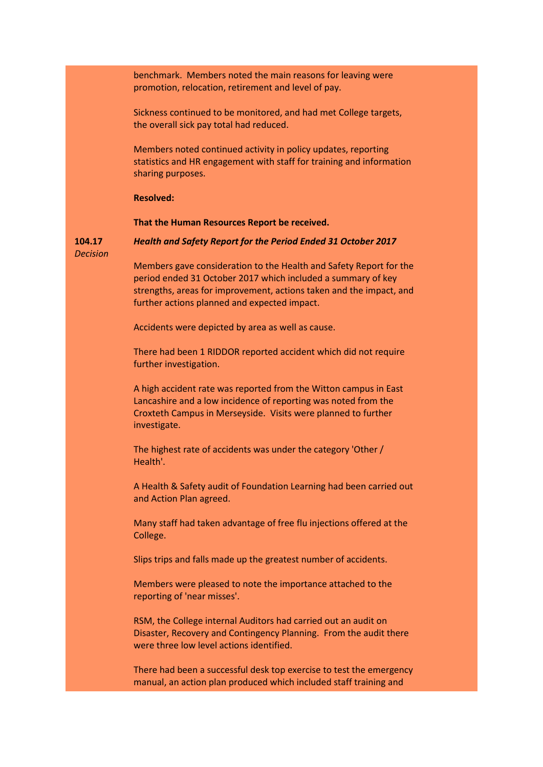benchmark. Members noted the main reasons for leaving were promotion, relocation, retirement and level of pay.

Sickness continued to be monitored, and had met College targets, the overall sick pay total had reduced.

Members noted continued activity in policy updates, reporting statistics and HR engagement with staff for training and information sharing purposes.

### **Resolved:**

**That the Human Resources Report be received.**

**104.17** *Decision*

*Health and Safety Report for the Period Ended 31 October 2017* Members gave consideration to the Health and Safety Report for the

period ended 31 October 2017 which included a summary of key strengths, areas for improvement, actions taken and the impact, and further actions planned and expected impact.

Accidents were depicted by area as well as cause.

There had been 1 RIDDOR reported accident which did not require further investigation.

A high accident rate was reported from the Witton campus in East Lancashire and a low incidence of reporting was noted from the Croxteth Campus in Merseyside. Visits were planned to further investigate.

The highest rate of accidents was under the category 'Other / Health'.

A Health & Safety audit of Foundation Learning had been carried out and Action Plan agreed.

Many staff had taken advantage of free flu injections offered at the College.

Slips trips and falls made up the greatest number of accidents.

Members were pleased to note the importance attached to the reporting of 'near misses'.

RSM, the College internal Auditors had carried out an audit on Disaster, Recovery and Contingency Planning. From the audit there were three low level actions identified.

There had been a successful desk top exercise to test the emergency manual, an action plan produced which included staff training and